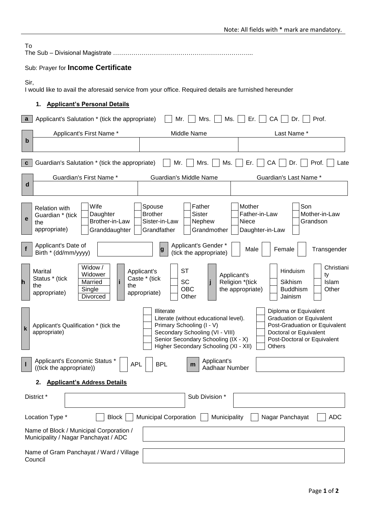|  | Note: All fields with * mark are mandatory. |
|--|---------------------------------------------|
|--|---------------------------------------------|

| To                                                                                                             | The Sub - Divisional Magistrate.                                                |                                                                                                                                                                                                     |                                                                                                                                                              |  |  |
|----------------------------------------------------------------------------------------------------------------|---------------------------------------------------------------------------------|-----------------------------------------------------------------------------------------------------------------------------------------------------------------------------------------------------|--------------------------------------------------------------------------------------------------------------------------------------------------------------|--|--|
|                                                                                                                | Sub: Prayer for Income Certificate                                              |                                                                                                                                                                                                     |                                                                                                                                                              |  |  |
| Sir,<br>I would like to avail the aforesaid service from your office. Required details are furnished hereunder |                                                                                 |                                                                                                                                                                                                     |                                                                                                                                                              |  |  |
| 1.                                                                                                             | <b>Applicant's Personal Details</b>                                             |                                                                                                                                                                                                     |                                                                                                                                                              |  |  |
| $\mathbf{a}$                                                                                                   | Applicant's Salutation * (tick the appropriate)                                 | Mrs.<br>Mr.                                                                                                                                                                                         | Ms.<br>Er. $\vert \ \vert$<br>CA<br>Dr.<br>Prof.                                                                                                             |  |  |
| $\mathbf b$                                                                                                    | Applicant's First Name *                                                        | Middle Name                                                                                                                                                                                         | Last Name*                                                                                                                                                   |  |  |
| $\mathbf{c}$                                                                                                   | Guardian's Salutation * (tick the appropriate)                                  | Mr.<br>Mrs.                                                                                                                                                                                         | CA<br>Ms.<br>Prof.<br>Er.<br>Dr.<br>Late                                                                                                                     |  |  |
| $\mathbf d$                                                                                                    | Guardian's First Name *                                                         | Guardian's Middle Name                                                                                                                                                                              | Guardian's Last Name *                                                                                                                                       |  |  |
| <b>Relation with</b><br>Guardian * (tick<br>e<br>the<br>appropriate)                                           | Wife<br>Daughter<br>Brother-in-Law<br>Granddaughter                             | Father<br>Spouse<br><b>Brother</b><br><b>Sister</b><br>Sister-in-Law<br>Nephew<br>Grandfather<br>Grandmother                                                                                        | Son<br>Mother<br>Father-in-Law<br>Mother-in-Law<br>Niece<br>Grandson<br>Daughter-in-Law                                                                      |  |  |
| Applicant's Date of<br>$\mathbf f$<br>Birth * (dd/mm/yyyy)                                                     |                                                                                 | Applicant's Gender *<br>g<br>(tick the appropriate)                                                                                                                                                 | Female<br>Male<br>Transgender                                                                                                                                |  |  |
| Marital<br>Status * (tick<br>h<br>the<br>appropriate)                                                          | Widow /<br>Widower<br>Married<br>i<br>the<br>Single<br>Divorced                 | <b>ST</b><br>Applicant's<br>Caste * (tick<br>SC<br><b>OBC</b><br>appropriate)<br>Other                                                                                                              | Christiani<br>Hinduism<br>Applicant's<br>ty<br>Religion *(tick<br>Sikhism<br>Islam<br>the appropriate)<br><b>Buddhism</b><br>Other<br>Jainism                |  |  |
| k<br>appropriate)                                                                                              | Applicant's Qualification * (tick the                                           | Illiterate<br>Literate (without educational level).<br>Primary Schooling (I - V)<br>Secondary Schooling (VI - VIII)<br>Senior Secondary Schooling (IX - X)<br>Higher Secondary Schooling (XI - XII) | Diploma or Equivalent<br>Graduation or Equivalent<br>Post-Graduation or Equivalent<br>Doctoral or Equivalent<br>Post-Doctoral or Equivalent<br><b>Others</b> |  |  |
| ш                                                                                                              | Applicant's Economic Status *<br>((tick the appropriate))                       | Applicant's<br><b>BPL</b><br><b>APL</b><br>m<br>Aadhaar Number                                                                                                                                      |                                                                                                                                                              |  |  |
| 2.                                                                                                             | <b>Applicant's Address Details</b>                                              |                                                                                                                                                                                                     |                                                                                                                                                              |  |  |
| District *                                                                                                     |                                                                                 | Sub Division *                                                                                                                                                                                      |                                                                                                                                                              |  |  |
| Location Type *                                                                                                | <b>Block</b>                                                                    | <b>Municipal Corporation</b><br>Municipality                                                                                                                                                        | Nagar Panchayat<br><b>ADC</b>                                                                                                                                |  |  |
|                                                                                                                | Name of Block / Municipal Corporation /<br>Municipality / Nagar Panchayat / ADC |                                                                                                                                                                                                     |                                                                                                                                                              |  |  |
| Council                                                                                                        | Name of Gram Panchayat / Ward / Village                                         |                                                                                                                                                                                                     |                                                                                                                                                              |  |  |